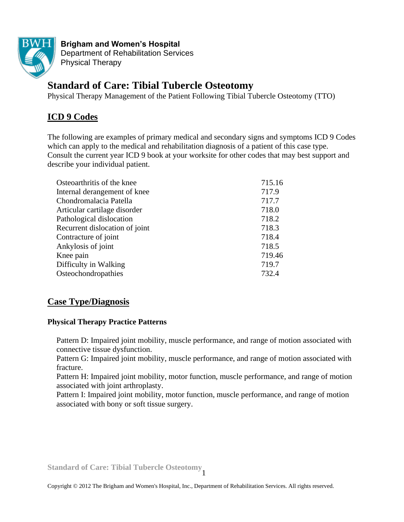

**Brigham and Women's Hospital** Department of Rehabilitation Services Physical Therapy

# **Standard of Care: Tibial Tubercle Osteotomy**

Physical Therapy Management of the Patient Following Tibial Tubercle Osteotomy (TTO)

# **ICD 9 Codes**

The following are examples of primary medical and secondary signs and symptoms ICD 9 Codes which can apply to the medical and rehabilitation diagnosis of a patient of this case type. Consult the current year ICD 9 book at your worksite for other codes that may best support and describe your individual patient.

| Osteoarthritis of the knee     | 715.16 |
|--------------------------------|--------|
| Internal derangement of knee   | 717.9  |
| Chondromalacia Patella         | 717.7  |
| Articular cartilage disorder   | 718.0  |
| Pathological dislocation       | 718.2  |
| Recurrent dislocation of joint | 718.3  |
| Contracture of joint           | 718.4  |
| Ankylosis of joint             | 718.5  |
| Knee pain                      | 719.46 |
| Difficulty in Walking          | 719.7  |
| Osteochondropathies            | 732.4  |

# **Case Type/Diagnosis**

# **Physical Therapy Practice Patterns**

Pattern D: Impaired joint mobility, muscle performance, and range of motion associated with connective tissue dysfunction.

Pattern G: Impaired joint mobility, muscle performance, and range of motion associated with fracture.

Pattern H: Impaired joint mobility, motor function, muscle performance, and range of motion associated with joint arthroplasty.

Pattern I: Impaired joint mobility, motor function, muscle performance, and range of motion associated with bony or soft tissue surgery.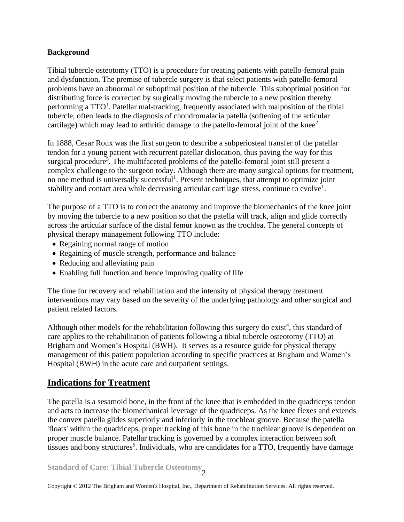#### **Background**

Tibial tubercle osteotomy (TTO) is a procedure for treating patients with patello-femoral pain and dysfunction. The premise of tubercle surgery is that select patients with patello-femoral problems have an abnormal or suboptimal position of the tubercle. This suboptimal position for distributing force is corrected by surgically moving the tubercle to a new position thereby performing a  $TTO<sup>1</sup>$ . Patellar mal-tracking, frequently associated with malposition of the tibial tubercle, often leads to the diagnosis of chondromalacia patella (softening of the articular cartilage) which may lead to arthritic damage to the patello-femoral joint of the knee<sup>2</sup>.

In 1888, Cesar Roux was the first surgeon to describe a subperiosteal transfer of the patellar tendon for a young patient with recurrent patellar dislocation, thus paving the way for this surgical procedure<sup>3</sup>. The multifaceted problems of the patello-femoral joint still present a complex challenge to the surgeon today. Although there are many surgical options for treatment, no one method is universally successful<sup>1</sup>. Present techniques, that attempt to optimize joint stability and contact area while decreasing articular cartilage stress, continue to evolve<sup>1</sup>.

The purpose of a TTO is to correct the anatomy and improve the biomechanics of the knee joint by moving the tubercle to a new position so that the patella will track, align and glide correctly across the articular surface of the distal femur known as the trochlea. The general concepts of physical therapy management following TTO include:

- Regaining normal range of motion
- Regaining of muscle strength, performance and balance
- Reducing and alleviating pain
- Enabling full function and hence improving quality of life

The time for recovery and rehabilitation and the intensity of physical therapy treatment interventions may vary based on the severity of the underlying pathology and other surgical and patient related factors.

Although other models for the rehabilitation following this surgery do exist<sup>4</sup>, this standard of care applies to the rehabilitation of patients following a tibial tubercle osteotomy (TTO) at Brigham and Women's Hospital (BWH). It serves as a resource guide for physical therapy management of this patient population according to specific practices at Brigham and Women's Hospital (BWH) in the acute care and outpatient settings.

# **Indications for Treatment**

The patella is a sesamoid bone, in the front of the knee that is embedded in the quadriceps tendon and acts to increase the biomechanical leverage of the quadriceps. As the knee flexes and extends the convex patella glides superiorly and inferiorly in the trochlear groove. Because the patella 'floats' within the quadriceps, proper tracking of this bone in the trochlear groove is dependent on proper muscle balance. Patellar tracking is governed by a complex interaction between soft tissues and bony structures<sup>5</sup>. Individuals, who are candidates for a TTO, frequently have damage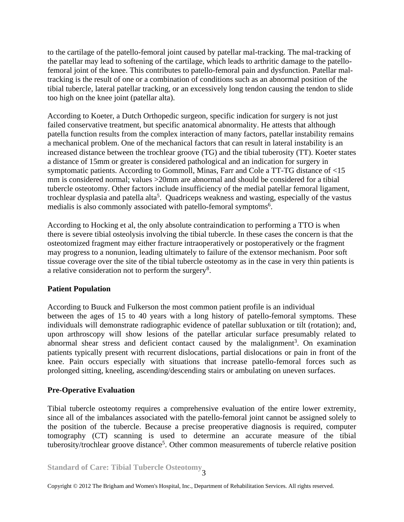to the cartilage of the patello-femoral joint caused by patellar mal-tracking. The mal-tracking of the patellar may lead to softening of the cartilage, which leads to arthritic damage to the patellofemoral joint of the knee. This contributes to patello-femoral pain and dysfunction. Patellar maltracking is the result of one or a combination of conditions such as an abnormal position of the tibial tubercle, lateral patellar tracking, or an excessively long tendon causing the tendon to slide too high on the knee joint (patellar alta).

According to Koeter, a Dutch Orthopedic surgeon, specific indication for surgery is not just failed conservative treatment, but specific anatomical abnormality. He attests that although patella function results from the complex interaction of many factors, patellar instability remains a mechanical problem. One of the mechanical factors that can result in lateral instability is an increased distance between the trochlear groove (TG) and the tibial tuberosity (TT). Koeter states a distance of 15mm or greater is considered pathological and an indication for surgery in symptomatic patients. According to Gommoll, Minas, Farr and Cole a TT-TG distance of <15 mm is considered normal; values >20mm are abnormal and should be considered for a tibial tubercle osteotomy. Other factors include insufficiency of the medial patellar femoral ligament, trochlear dysplasia and patella alta<sup>5</sup>. Quadriceps weakness and wasting, especially of the vastus medialis is also commonly associated with patello-femoral symptoms<sup>6</sup>.

According to Hocking et al, the only absolute contraindication to performing a TTO is when there is severe tibial osteolysis involving the tibial tubercle. In these cases the concern is that the osteotomized fragment may either fracture intraoperatively or postoperatively or the fragment may progress to a nonunion, leading ultimately to failure of the extensor mechanism. Poor soft tissue coverage over the site of the tibial tubercle osteotomy as in the case in very thin patients is a relative consideration not to perform the surgery<sup>8</sup>.

#### **Patient Population**

According to Buuck and Fulkerson the most common patient profile is an individual between the ages of 15 to 40 years with a long history of patello-femoral symptoms. These individuals will demonstrate radiographic evidence of patellar subluxation or tilt (rotation); and, upon arthroscopy will show lesions of the patellar articular surface presumably related to abnormal shear stress and deficient contact caused by the malalignment<sup>3</sup>. On examination patients typically present with recurrent dislocations, partial dislocations or pain in front of the knee. Pain occurs especially with situations that increase patello-femoral forces such as prolonged sitting, kneeling, ascending/descending stairs or ambulating on uneven surfaces.

# **Pre-Operative Evaluation**

Tibial tubercle osteotomy requires a comprehensive evaluation of the entire lower extremity, since all of the imbalances associated with the patello-femoral joint cannot be assigned solely to the position of the tubercle. Because a precise preoperative diagnosis is required, computer tomography (CT) scanning is used to determine an accurate measure of the tibial tuberosity/trochlear groove distance<sup>5</sup>. Other common measurements of tubercle relative position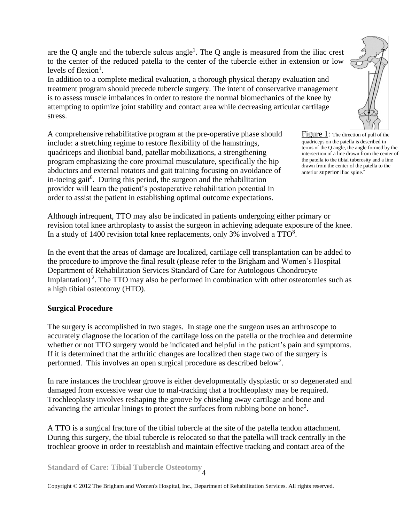are the Q angle and the tubercle sulcus angle<sup>1</sup>. The Q angle is measured from the iliac crest to the center of the reduced patella to the center of the tubercle either in extension or low levels of flexion<sup>1</sup>.

In addition to a complete medical evaluation, a thorough physical therapy evaluation and treatment program should precede tubercle surgery. The intent of conservative management is to assess muscle imbalances in order to restore the normal biomechanics of the knee by attempting to optimize joint stability and contact area while decreasing articular cartilage stress.

A comprehensive rehabilitative program at the pre-operative phase should include: a stretching regime to restore flexibility of the hamstrings, quadriceps and iliotibial band, patellar mobilizations, a strengthening program emphasizing the core proximal musculature, specifically the hip abductors and external rotators and gait training focusing on avoidance of in-toeing gait<sup>6</sup>. During this period, the surgeon and the rehabilitation provider will learn the patient's postoperative rehabilitation potential in order to assist the patient in establishing optimal outcome expectations.



Figure 1: The direction of pull of the quadriceps on the patella is described in terms of the Q angle, the angle formed by the intersection of a line drawn from the center of the patella to the tibial tuberosity and a line drawn from the center of the patella to the anterior superior iliac spine.7

Although infrequent, TTO may also be indicated in patients undergoing either primary or revision total knee arthroplasty to assist the surgeon in achieving adequate exposure of the knee. In a study of 1400 revision total knee replacements, only 3% involved a  $TTO<sup>8</sup>$ .

In the event that the areas of damage are localized, cartilage cell transplantation can be added to the procedure to improve the final result (please refer to the Brigham and Women's Hospital Department of Rehabilitation Services Standard of Care for Autologous Chondrocyte Implantation)<sup>2</sup>. The TTO may also be performed in combination with other osteotomies such as a high tibial osteotomy (HTO).

# **Surgical Procedure**

The surgery is accomplished in two stages. In stage one the surgeon uses an arthroscope to accurately diagnose the location of the cartilage loss on the patella or the trochlea and determine whether or not TTO surgery would be indicated and helpful in the patient's pain and symptoms. If it is determined that the arthritic changes are localized then stage two of the surgery is performed. This involves an open surgical procedure as described below<sup>2</sup>.

In rare instances the trochlear groove is either developmentally dysplastic or so degenerated and damaged from excessive wear due to mal-tracking that a trochleoplasty may be required. Trochleoplasty involves reshaping the groove by chiseling away cartilage and bone and advancing the articular linings to protect the surfaces from rubbing bone on bone<sup>2</sup> .

A TTO is a surgical fracture of the tibial tubercle at the site of the patella tendon attachment. During this surgery, the tibial tubercle is relocated so that the patella will track centrally in the trochlear groove in order to reestablish and maintain effective tracking and contact area of the

**Standard of Care: Tibial Tubercle Osteotomy** 4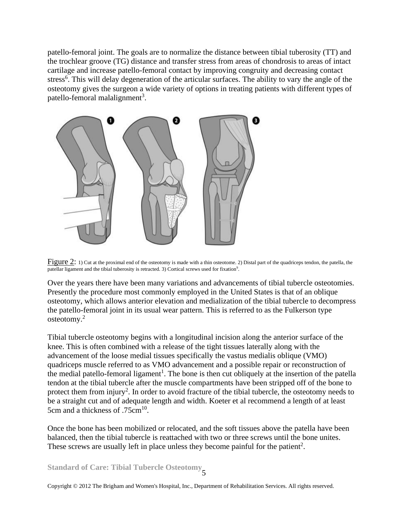patello-femoral joint. The goals are to normalize the distance between tibial tuberosity (TT) and the trochlear groove (TG) distance and transfer stress from areas of chondrosis to areas of intact cartilage and increase patello-femoral contact by improving congruity and decreasing contact stress<sup>6</sup>. This will delay degeneration of the articular surfaces. The ability to vary the angle of the osteotomy gives the surgeon a wide variety of options in treating patients with different types of patello-femoral malalignment<sup>3</sup>.



Figure 2: 1) Cut at the proximal end of the osteotomy is made with a thin osteotome. 2) Distal part of the quadriceps tendon, the patella, the patellar ligament and the tibial tuberosity is retracted. 3) Cortical screws used for fixation<sup>9</sup>.

Over the years there have been many variations and advancements of tibial tubercle osteotomies. Presently the procedure most commonly employed in the United States is that of an oblique osteotomy, which allows anterior elevation and medialization of the tibial tubercle to decompress the patello-femoral joint in its usual wear pattern. This is referred to as the Fulkerson type osteotomy. 2

Tibial tubercle osteotomy begins with a longitudinal incision along the anterior surface of the knee. This is often combined with a release of the tight tissues laterally along with the advancement of the loose medial tissues specifically the vastus medialis oblique (VMO) quadriceps muscle referred to as VMO advancement and a possible repair or reconstruction of the medial patello-femoral ligament<sup>1</sup>. The bone is then cut obliquely at the insertion of the patella tendon at the tibial tubercle after the muscle compartments have been stripped off of the bone to protect them from injury<sup>2</sup>. In order to avoid fracture of the tibial tubercle, the osteotomy needs to be a straight cut and of adequate length and width. Koeter et al recommend a length of at least 5cm and a thickness of  $.75cm<sup>10</sup>$ .

Once the bone has been mobilized or relocated, and the soft tissues above the patella have been balanced, then the tibial tubercle is reattached with two or three screws until the bone unites. These screws are usually left in place unless they become painful for the patient<sup>2</sup>.

**Standard of Care: Tibial Tubercle Osteotomy** 5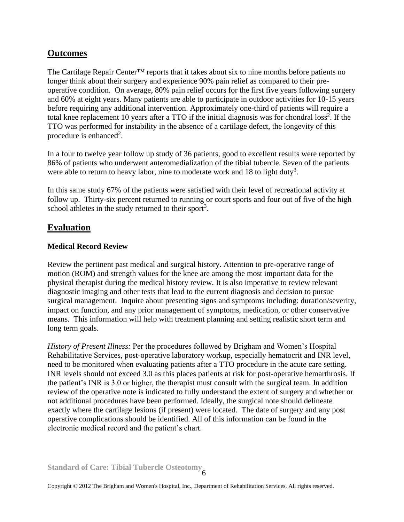# **Outcomes**

The Cartilage Repair Center<sup>™</sup> reports that it takes about six to nine months before patients no longer think about their surgery and experience 90% pain relief as compared to their preoperative condition. On average, 80% pain relief occurs for the first five years following surgery and 60% at eight years. Many patients are able to participate in outdoor activities for 10-15 years before requiring any additional intervention. Approximately one-third of patients will require a total knee replacement 10 years after a TTO if the initial diagnosis was for chondral  $loss<sup>2</sup>$ . If the TTO was performed for instability in the absence of a cartilage defect, the longevity of this procedure is enhanced<sup>2</sup>.

In a four to twelve year follow up study of 36 patients, good to excellent results were reported by 86% of patients who underwent anteromedialization of the tibial tubercle. Seven of the patients were able to return to heavy labor, nine to moderate work and 18 to light duty<sup>3</sup>.

In this same study 67% of the patients were satisfied with their level of recreational activity at follow up. Thirty-six percent returned to running or court sports and four out of five of the high school athletes in the study returned to their sport<sup>3</sup>.

# **Evaluation**

#### **Medical Record Review**

Review the pertinent past medical and surgical history. Attention to pre-operative range of motion (ROM) and strength values for the knee are among the most important data for the physical therapist during the medical history review. It is also imperative to review relevant diagnostic imaging and other tests that lead to the current diagnosis and decision to pursue surgical management. Inquire about presenting signs and symptoms including: duration/severity, impact on function, and any prior management of symptoms, medication, or other conservative means. This information will help with treatment planning and setting realistic short term and long term goals.

*History of Present Illness:* Per the procedures followed by Brigham and Women's Hospital Rehabilitative Services, post-operative laboratory workup, especially hematocrit and INR level, need to be monitored when evaluating patients after a TTO procedure in the acute care setting. INR levels should not exceed 3.0 as this places patients at risk for post-operative hemarthrosis. If the patient's INR is 3.0 or higher, the therapist must consult with the surgical team. In addition review of the operative note is indicated to fully understand the extent of surgery and whether or not additional procedures have been performed. Ideally, the surgical note should delineate exactly where the cartilage lesions (if present) were located. The date of surgery and any post operative complications should be identified. All of this information can be found in the electronic medical record and the patient's chart.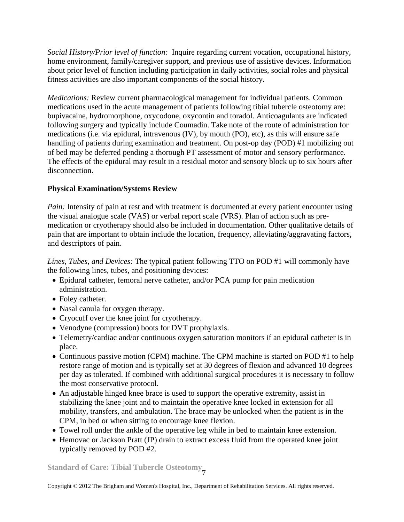*Social History/Prior level of function:*Inquire regarding current vocation, occupational history, home environment, family/caregiver support, and previous use of assistive devices. Information about prior level of function including participation in daily activities, social roles and physical fitness activities are also important components of the social history.

*Medications:* Review current pharmacological management for individual patients. Common medications used in the acute management of patients following tibial tubercle osteotomy are: bupivacaine, hydromorphone, oxycodone, oxycontin and toradol. Anticoagulants are indicated following surgery and typically include Coumadin. Take note of the route of administration for medications (i.e. via epidural, intravenous (IV), by mouth (PO), etc), as this will ensure safe handling of patients during examination and treatment. On post-op day (POD) #1 mobilizing out of bed may be deferred pending a thorough PT assessment of motor and sensory performance. The effects of the epidural may result in a residual motor and sensory block up to six hours after disconnection.

# **Physical Examination/Systems Review**

*Pain:* Intensity of pain at rest and with treatment is documented at every patient encounter using the visual analogue scale (VAS) or verbal report scale (VRS). Plan of action such as premedication or cryotherapy should also be included in documentation. Other qualitative details of pain that are important to obtain include the location, frequency, alleviating/aggravating factors, and descriptors of pain.

*Lines, Tubes, and Devices:* The typical patient following TTO on POD #1 will commonly have the following lines, tubes, and positioning devices:

- Epidural catheter, femoral nerve catheter, and/or PCA pump for pain medication administration.
- Foley catheter.
- Nasal canula for oxygen therapy.
- Cryocuff over the knee joint for cryotherapy.
- Venodyne (compression) boots for DVT prophylaxis.
- Telemetry/cardiac and/or continuous oxygen saturation monitors if an epidural catheter is in place.
- Continuous passive motion (CPM) machine. The CPM machine is started on POD #1 to help restore range of motion and is typically set at 30 degrees of flexion and advanced 10 degrees per day as tolerated. If combined with additional surgical procedures it is necessary to follow the most conservative protocol.
- An adjustable hinged knee brace is used to support the operative extremity, assist in stabilizing the knee joint and to maintain the operative knee locked in extension for all mobility, transfers, and ambulation. The brace may be unlocked when the patient is in the CPM, in bed or when sitting to encourage knee flexion.
- Towel roll under the ankle of the operative leg while in bed to maintain knee extension.
- Hemovac or Jackson Pratt (JP) drain to extract excess fluid from the operated knee joint typically removed by POD #2.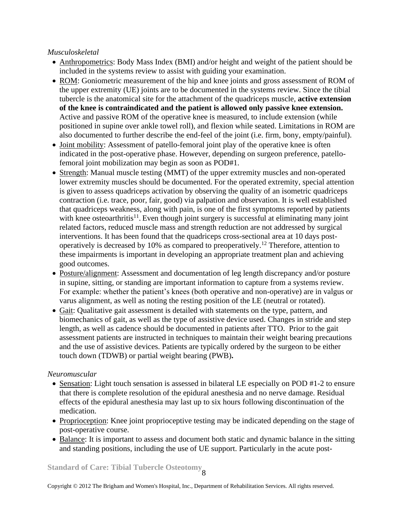#### *Musculoskeletal*

- Anthropometrics: Body Mass Index (BMI) and/or height and weight of the patient should be included in the systems review to assist with guiding your examination.
- ROM: Goniometric measurement of the hip and knee joints and gross assessment of ROM of the upper extremity (UE) joints are to be documented in the systems review. Since the tibial tubercle is the anatomical site for the attachment of the quadriceps muscle, **active extension of the knee is contraindicated and the patient is allowed only passive knee extension.** Active and passive ROM of the operative knee is measured, to include extension (while positioned in supine over ankle towel roll), and flexion while seated. Limitations in ROM are also documented to further describe the end-feel of the joint (i.e. firm, bony, empty/painful).
- Joint mobility: Assessment of patello-femoral joint play of the operative knee is often indicated in the post-operative phase. However, depending on surgeon preference, patellofemoral joint mobilization may begin as soon as POD#1.
- Strength: Manual muscle testing (MMT) of the upper extremity muscles and non-operated lower extremity muscles should be documented. For the operated extremity, special attention is given to assess quadriceps activation by observing the quality of an isometric quadriceps contraction (i.e. trace, poor, fair, good) via palpation and observation. It is well established that quadriceps weakness, along with pain, is one of the first symptoms reported by patients with knee osteoarthritis $11$ . Even though joint surgery is successful at eliminating many joint related factors, reduced muscle mass and strength reduction are not addressed by surgical interventions. It has been found that the quadriceps cross-sectional area at 10 days postoperatively is decreased by 10% as compared to preoperatively.<sup>12</sup> Therefore, attention to these impairments is important in developing an appropriate treatment plan and achieving good outcomes.
- Posture/alignment: Assessment and documentation of leg length discrepancy and/or posture in supine, sitting, or standing are important information to capture from a systems review. For example: whether the patient's knees (both operative and non-operative) are in valgus or varus alignment, as well as noting the resting position of the LE (neutral or rotated).
- Gait: Qualitative gait assessment is detailed with statements on the type, pattern, and biomechanics of gait, as well as the type of assistive device used. Changes in stride and step length, as well as cadence should be documented in patients after TTO. Prior to the gait assessment patients are instructed in techniques to maintain their weight bearing precautions and the use of assistive devices. Patients are typically ordered by the surgeon to be either touch down (TDWB) or partial weight bearing (PWB)**.**

# *Neuromuscular*

- Sensation: Light touch sensation is assessed in bilateral LE especially on POD #1-2 to ensure that there is complete resolution of the epidural anesthesia and no nerve damage. Residual effects of the epidural anesthesia may last up to six hours following discontinuation of the medication.
- Proprioception: Knee joint proprioceptive testing may be indicated depending on the stage of post-operative course.
- Balance: It is important to assess and document both static and dynamic balance in the sitting and standing positions, including the use of UE support. Particularly in the acute post-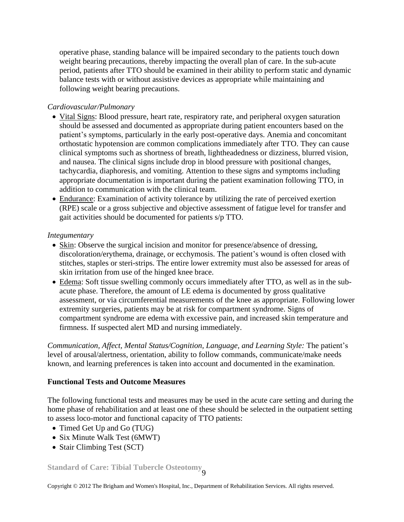operative phase, standing balance will be impaired secondary to the patients touch down weight bearing precautions, thereby impacting the overall plan of care. In the sub-acute period, patients after TTO should be examined in their ability to perform static and dynamic balance tests with or without assistive devices as appropriate while maintaining and following weight bearing precautions.

### *Cardiovascular/Pulmonary*

- Vital Signs: Blood pressure, heart rate, respiratory rate, and peripheral oxygen saturation should be assessed and documented as appropriate during patient encounters based on the patient's symptoms, particularly in the early post-operative days. Anemia and concomitant orthostatic hypotension are common complications immediately after TTO. They can cause clinical symptoms such as shortness of breath, lightheadedness or dizziness, blurred vision, and nausea. The clinical signs include drop in blood pressure with positional changes, tachycardia, diaphoresis, and vomiting. Attention to these signs and symptoms including appropriate documentation is important during the patient examination following TTO, in addition to communication with the clinical team.
- Endurance: Examination of activity tolerance by utilizing the rate of perceived exertion (RPE) scale or a gross subjective and objective assessment of fatigue level for transfer and gait activities should be documented for patients s/p TTO.

#### *Integumentary*

- Skin: Observe the surgical incision and monitor for presence/absence of dressing, discoloration/erythema, drainage, or ecchymosis. The patient's wound is often closed with stitches, staples or steri-strips. The entire lower extremity must also be assessed for areas of skin irritation from use of the hinged knee brace.
- Edema: Soft tissue swelling commonly occurs immediately after TTO, as well as in the subacute phase. Therefore, the amount of LE edema is documented by gross qualitative assessment, or via circumferential measurements of the knee as appropriate. Following lower extremity surgeries, patients may be at risk for compartment syndrome. Signs of compartment syndrome are edema with excessive pain, and increased skin temperature and firmness. If suspected alert MD and nursing immediately.

*Communication, Affect, Mental Status/Cognition, Language, and Learning Style:* The patient's level of arousal/alertness, orientation, ability to follow commands, communicate/make needs known, and learning preferences is taken into account and documented in the examination.

#### **Functional Tests and Outcome Measures**

The following functional tests and measures may be used in the acute care setting and during the home phase of rehabilitation and at least one of these should be selected in the outpatient setting to assess loco-motor and functional capacity of TTO patients:

- Timed Get Up and Go (TUG)
- Six Minute Walk Test (6MWT)
- Stair Climbing Test (SCT)

**Standard of Care: Tibial Tubercle Osteotomy** 9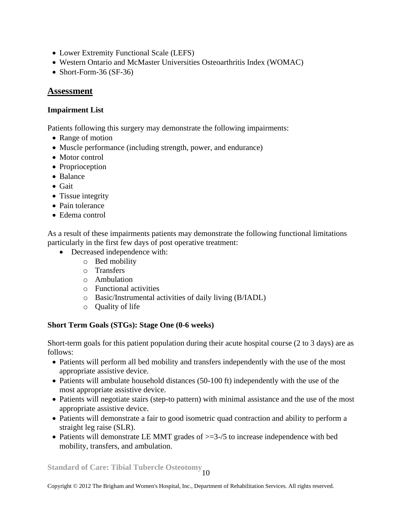- Lower Extremity Functional Scale (LEFS)
- Western Ontario and McMaster Universities Osteoarthritis Index (WOMAC)
- Short-Form-36 (SF-36)

### **Assessment**

#### **Impairment List**

Patients following this surgery may demonstrate the following impairments:

- Range of motion
- Muscle performance (including strength, power, and endurance)
- Motor control
- Proprioception
- Balance
- Gait
- Tissue integrity
- Pain tolerance
- Edema control

As a result of these impairments patients may demonstrate the following functional limitations particularly in the first few days of post operative treatment:

- Decreased independence with:
	- o Bed mobility
	- o Transfers
	- o Ambulation
	- o Functional activities
	- o Basic/Instrumental activities of daily living (B/IADL)
	- o Quality of life

#### **Short Term Goals (STGs): Stage One (0-6 weeks)**

Short-term goals for this patient population during their acute hospital course (2 to 3 days) are as follows:

- Patients will perform all bed mobility and transfers independently with the use of the most appropriate assistive device.
- Patients will ambulate household distances (50-100 ft) independently with the use of the most appropriate assistive device.
- Patients will negotiate stairs (step-to pattern) with minimal assistance and the use of the most appropriate assistive device.
- Patients will demonstrate a fair to good isometric quad contraction and ability to perform a straight leg raise (SLR).
- Patients will demonstrate LE MMT grades of  $\geq$ =3-/5 to increase independence with bed mobility, transfers, and ambulation.

**Standard of Care: Tibial Tubercle Osteotomy** 10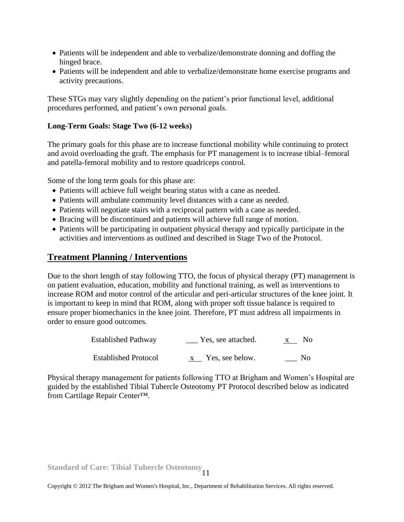- Patients will be independent and able to verbalize/demonstrate donning and doffing the hinged brace.
- Patients will be independent and able to verbalize/demonstrate home exercise programs and activity precautions.

These STGs may vary slightly depending on the patient's prior functional level, additional procedures performed, and patient's own personal goals.

#### **Long-Term Goals: Stage Two (6-12 weeks)**

The primary goals for this phase are to increase functional mobility while continuing to protect and avoid overloading the graft. The emphasis for PT management is to increase tibial–femoral and patella-femoral mobility and to restore quadriceps control.

Some of the long term goals for this phase are:

- Patients will achieve full weight bearing status with a cane as needed.
- Patients will ambulate community level distances with a cane as needed.
- Patients will negotiate stairs with a reciprocal pattern with a cane as needed.
- Bracing will be discontinued and patients will achieve full range of motion.
- Patients will be participating in outpatient physical therapy and typically participate in the activities and interventions as outlined and described in Stage Two of the Protocol.

# **Treatment Planning / Interventions**

Due to the short length of stay following TTO, the focus of physical therapy (PT) management is on patient evaluation, education, mobility and functional training, as well as interventions to increase ROM and motor control of the articular and peri-articular structures of the knee joint. It is important to keep in mind that ROM, along with proper soft tissue balance is required to ensure proper biomechanics in the knee joint. Therefore, PT must address all impairments in order to ensure good outcomes.

| <b>Established Pathway</b>  | Yes, see attached. | No.            |
|-----------------------------|--------------------|----------------|
| <b>Established Protocol</b> | Yes, see below.    | N <sub>0</sub> |

Physical therapy management for patients following TTO at Brigham and Women's Hospital are guided by the established Tibial Tubercle Osteotomy PT Protocol described below as indicated from Cartilage Repair Center™.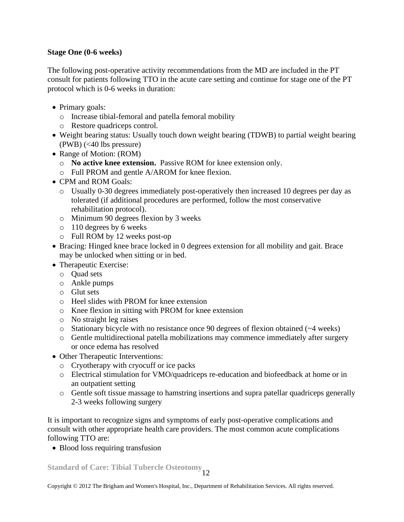### **Stage One (0-6 weeks)**

The following post-operative activity recommendations from the MD are included in the PT consult for patients following TTO in the acute care setting and continue for stage one of the PT protocol which is 0-6 weeks in duration:

- Primary goals:
	- o Increase tibial-femoral and patella femoral mobility
	- o Restore quadriceps control.
- Weight bearing status: Usually touch down weight bearing (TDWB) to partial weight bearing  $(PWB)$  (<40 lbs pressure)
- Range of Motion: (ROM)
	- o **No active knee extension.** Passive ROM for knee extension only.
	- o Full PROM and gentle A/AROM for knee flexion.
- CPM and ROM Goals:
	- o Usually 0-30 degrees immediately post-operatively then increased 10 degrees per day as tolerated (if additional procedures are performed, follow the most conservative rehabilitation protocol).
	- o Minimum 90 degrees flexion by 3 weeks
	- o 110 degrees by 6 weeks
	- o Full ROM by 12 weeks post-op
- Bracing: Hinged knee brace locked in 0 degrees extension for all mobility and gait. Brace may be unlocked when sitting or in bed.
- Therapeutic Exercise:
	- o Quad sets
	- o Ankle pumps
	- o Glut sets
	- o Heel slides with PROM for knee extension
	- o Knee flexion in sitting with PROM for knee extension
	- o No straight leg raises
	- $\circ$  Stationary bicycle with no resistance once 90 degrees of flexion obtained ( $\sim$ 4 weeks)
	- o Gentle multidirectional patella mobilizations may commence immediately after surgery or once edema has resolved
- Other Therapeutic Interventions:
	- o Cryotherapy with cryocuff or ice packs
	- o Electrical stimulation for VMO/quadriceps re-education and biofeedback at home or in an outpatient setting
	- o Gentle soft tissue massage to hamstring insertions and supra patellar quadriceps generally 2-3 weeks following surgery

It is important to recognize signs and symptoms of early post-operative complications and consult with other appropriate health care providers. The most common acute complications following TTO are:

• Blood loss requiring transfusion

**Standard of Care: Tibial Tubercle Osteotomy** 12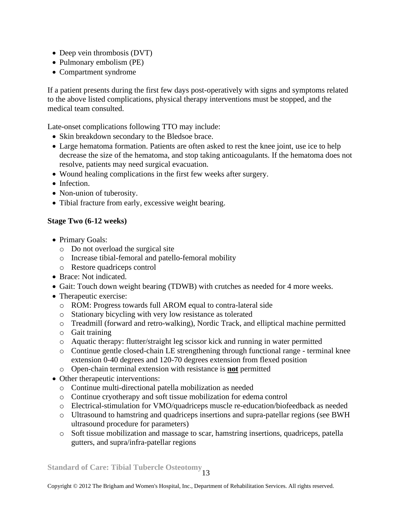- Deep vein thrombosis (DVT)
- Pulmonary embolism (PE)
- Compartment syndrome

If a patient presents during the first few days post-operatively with signs and symptoms related to the above listed complications, physical therapy interventions must be stopped, and the medical team consulted.

Late-onset complications following TTO may include:

- Skin breakdown secondary to the Bledsoe brace.
- Large hematoma formation. Patients are often asked to rest the knee joint, use ice to help decrease the size of the hematoma, and stop taking anticoagulants. If the hematoma does not resolve, patients may need surgical evacuation.
- Wound healing complications in the first few weeks after surgery.
- Infection.
- Non-union of tuberosity.
- Tibial fracture from early, excessive weight bearing.

# **Stage Two (6-12 weeks)**

- Primary Goals:
	- o Do not overload the surgical site
	- o Increase tibial-femoral and patello-femoral mobility
	- o Restore quadriceps control
- Brace: Not indicated.
- Gait: Touch down weight bearing (TDWB) with crutches as needed for 4 more weeks.
- Therapeutic exercise:
	- o ROM: Progress towards full AROM equal to contra-lateral side
	- o Stationary bicycling with very low resistance as tolerated
	- o Treadmill (forward and retro-walking), Nordic Track, and elliptical machine permitted
	- o Gait training
	- o Aquatic therapy: flutter/straight leg scissor kick and running in water permitted
	- o Continue gentle closed-chain LE strengthening through functional range terminal knee extension 0-40 degrees and 120-70 degrees extension from flexed position
	- o Open-chain terminal extension with resistance is **not** permitted
- Other therapeutic interventions:
	- o Continue multi-directional patella mobilization as needed
	- o Continue cryotherapy and soft tissue mobilization for edema control
	- o Electrical-stimulation for VMO/quadriceps muscle re-education/biofeedback as needed
	- o Ultrasound to hamstring and quadriceps insertions and supra-patellar regions (see BWH ultrasound procedure for parameters)
	- o Soft tissue mobilization and massage to scar, hamstring insertions, quadriceps, patella gutters, and supra/infra-patellar regions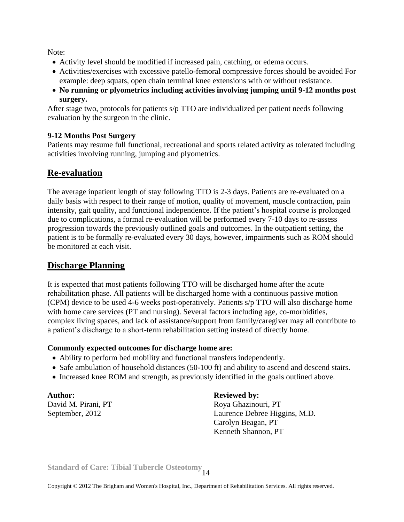Note:

- Activity level should be modified if increased pain, catching, or edema occurs.
- Activities/exercises with excessive patello-femoral compressive forces should be avoided For example: deep squats, open chain terminal knee extensions with or without resistance.
- **No running or plyometrics including activities involving jumping until 9-12 months post surgery.**

After stage two, protocols for patients s/p TTO are individualized per patient needs following evaluation by the surgeon in the clinic.

# **9-12 Months Post Surgery**

Patients may resume full functional, recreational and sports related activity as tolerated including activities involving running, jumping and plyometrics.

# **Re-evaluation**

The average inpatient length of stay following TTO is 2-3 days. Patients are re-evaluated on a daily basis with respect to their range of motion, quality of movement, muscle contraction, pain intensity, gait quality, and functional independence. If the patient's hospital course is prolonged due to complications, a formal re-evaluation will be performed every 7-10 days to re-assess progression towards the previously outlined goals and outcomes. In the outpatient setting, the patient is to be formally re-evaluated every 30 days, however, impairments such as ROM should be monitored at each visit.

# **Discharge Planning**

It is expected that most patients following TTO will be discharged home after the acute rehabilitation phase. All patients will be discharged home with a continuous passive motion (CPM) device to be used 4-6 weeks post-operatively. Patients s/p TTO will also discharge home with home care services (PT and nursing). Several factors including age, co-morbidities, complex living spaces, and lack of assistance/support from family/caregiver may all contribute to a patient's discharge to a short-term rehabilitation setting instead of directly home.

# **Commonly expected outcomes for discharge home are:**

- Ability to perform bed mobility and functional transfers independently.
- Safe ambulation of household distances (50-100 ft) and ability to ascend and descend stairs.
- Increased knee ROM and strength, as previously identified in the goals outlined above.

Author: **Reviewed by:** 

David M. Pirani, PT Roya Ghazinouri, PT September, 2012 Laurence Debree Higgins, M.D. Carolyn Beagan, PT Kenneth Shannon, PT